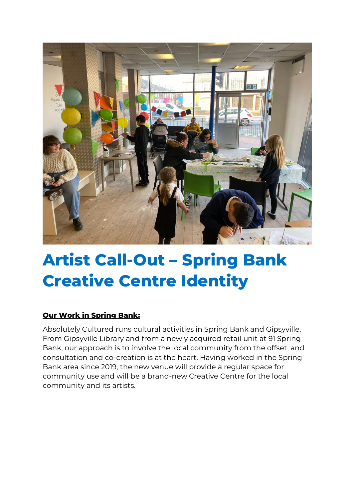

# **Artist Call-Out – Spring Bank Creative Centre Identity**

## **Our Work in Spring Bank:**

Absolutely Cultured runs cultural activities in Spring Bank and Gipsyville. From Gipsyville Library and from a newly acquired retail unit at 91 Spring Bank, our approach is to involve the local community from the offset, and consultation and co-creation is at the heart. Having worked in the Spring Bank area since 2019, the new venue will provide a regular space for community use and will be a brand-new Creative Centre for the local community and its artists.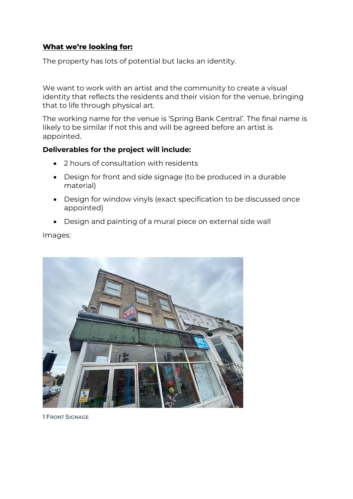## **What we're looking for:**

The property has lots of potential but lacks an identity.

We want to work with an artist and the community to create a visual identity that reflects the residents and their vision for the venue, bringing that to life through physical art.

The working name for the venue is 'Spring Bank Central'. The final name is likely to be similar if not this and will be agreed before an artist is appointed.

#### **Deliverables for the project will include:**

- 2 hours of consultation with residents
- Design for front and side signage (to be produced in a durable material)
- Design for window vinyls (exact specification to be discussed once appointed)
- Design and painting of a mural piece on external side wall

Images:



**1 FRONT SIGNAGE**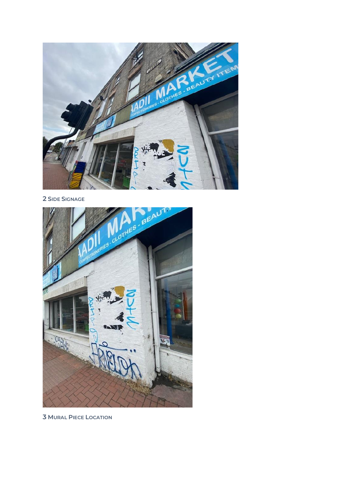

2 SIDE SIGNAGE



**3 MURAL PIECE LOCATION**